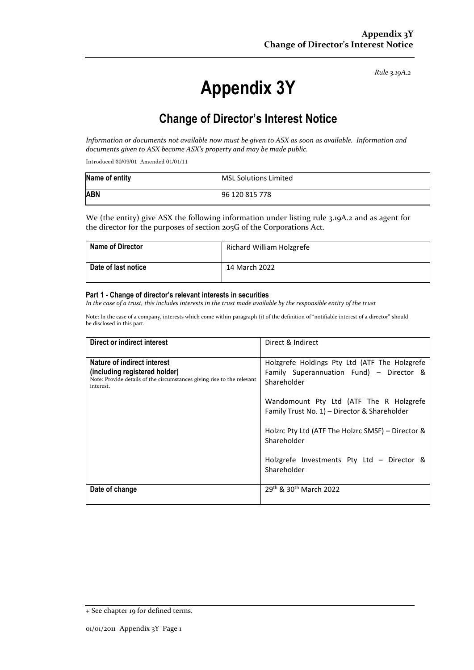*Rule 3.19A.2*

# **Appendix 3Y**

# **Change of Director's Interest Notice**

*Information or documents not available now must be given to ASX as soon as available. Information and documents given to ASX become ASX's property and may be made public.*

Introduced 30/09/01 Amended 01/01/11

| Name of entity | <b>MSL Solutions Limited</b> |
|----------------|------------------------------|
| <b>ABN</b>     | 96 120 815 778               |

We (the entity) give ASX the following information under listing rule 3.19A.2 and as agent for the director for the purposes of section 205G of the Corporations Act.

| <b>Name of Director</b>    | Richard William Holzgrefe |
|----------------------------|---------------------------|
| <b>Date of last notice</b> | 14 March 2022             |

#### **Part 1 - Change of director's relevant interests in securities**

*In the case of a trust, this includes interests in the trust made available by the responsible entity of the trust*

Note: In the case of a company, interests which come within paragraph (i) of the definition of "notifiable interest of a director" should be disclosed in this part.

| Direct or indirect interest                                                                                                                         | Direct & Indirect                                                                                        |
|-----------------------------------------------------------------------------------------------------------------------------------------------------|----------------------------------------------------------------------------------------------------------|
| Nature of indirect interest<br>(including registered holder)<br>Note: Provide details of the circumstances giving rise to the relevant<br>interest. | Holzgrefe Holdings Pty Ltd (ATF The Holzgrefe<br>Family Superannuation Fund) - Director &<br>Shareholder |
|                                                                                                                                                     | Wandomount Pty Ltd (ATF The R Holzgrefe<br>Family Trust No. 1) - Director & Shareholder                  |
|                                                                                                                                                     | Holzrc Pty Ltd (ATF The Holzrc SMSF) - Director &<br>Shareholder                                         |
|                                                                                                                                                     | Holzgrefe Investments Pty Ltd - Director &<br>Shareholder                                                |
| Date of change                                                                                                                                      | 29th & 30th March 2022                                                                                   |

<sup>+</sup> See chapter 19 for defined terms.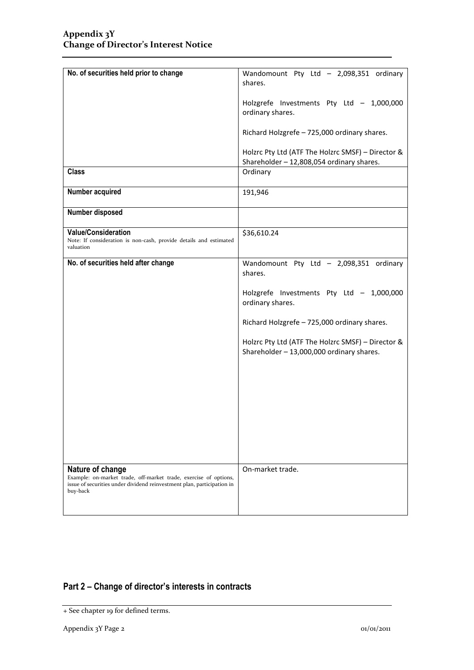| No. of securities held prior to change                                                                                                                                     | Wandomount Pty Ltd - 2,098,351 ordinary                                                        |
|----------------------------------------------------------------------------------------------------------------------------------------------------------------------------|------------------------------------------------------------------------------------------------|
|                                                                                                                                                                            | shares.                                                                                        |
|                                                                                                                                                                            | Holzgrefe Investments Pty Ltd - 1,000,000<br>ordinary shares.                                  |
|                                                                                                                                                                            | Richard Holzgrefe - 725,000 ordinary shares.                                                   |
|                                                                                                                                                                            | Holzrc Pty Ltd (ATF The Holzrc SMSF) - Director &<br>Shareholder - 12,808,054 ordinary shares. |
| <b>Class</b>                                                                                                                                                               | Ordinary                                                                                       |
| Number acquired                                                                                                                                                            | 191,946                                                                                        |
| Number disposed                                                                                                                                                            |                                                                                                |
| <b>Value/Consideration</b><br>Note: If consideration is non-cash, provide details and estimated<br>valuation                                                               | \$36,610.24                                                                                    |
| No. of securities held after change                                                                                                                                        | Wandomount Pty Ltd - 2,098,351 ordinary<br>shares.                                             |
|                                                                                                                                                                            | Holzgrefe Investments Pty Ltd - 1,000,000<br>ordinary shares.                                  |
|                                                                                                                                                                            | Richard Holzgrefe - 725,000 ordinary shares.                                                   |
|                                                                                                                                                                            | Holzrc Pty Ltd (ATF The Holzrc SMSF) - Director &<br>Shareholder - 13,000,000 ordinary shares. |
|                                                                                                                                                                            |                                                                                                |
|                                                                                                                                                                            |                                                                                                |
|                                                                                                                                                                            |                                                                                                |
|                                                                                                                                                                            |                                                                                                |
|                                                                                                                                                                            |                                                                                                |
| Nature of change<br>Example: on-market trade, off-market trade, exercise of options,<br>issue of securities under dividend reinvestment plan, participation in<br>buy-back | On-market trade.                                                                               |
|                                                                                                                                                                            |                                                                                                |

## **Part 2 – Change of director's interests in contracts**

<sup>+</sup> See chapter 19 for defined terms.